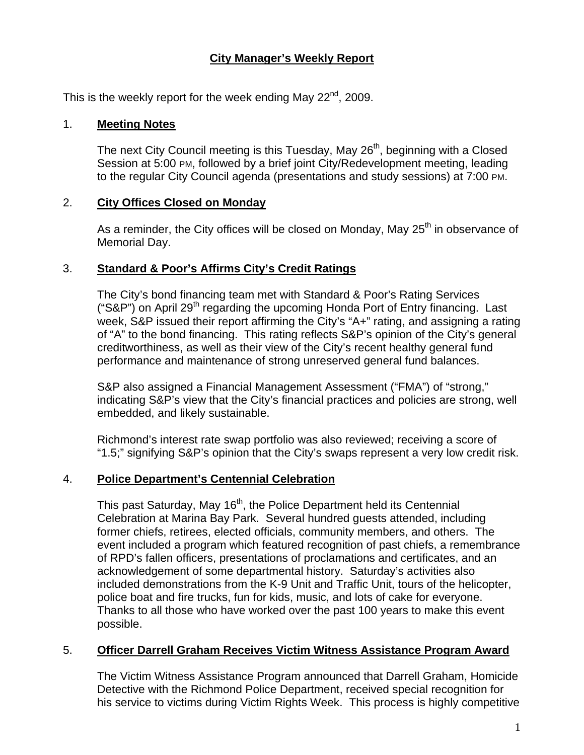# **City Manager's Weekly Report**

This is the weekly report for the week ending May  $22^{nd}$ , 2009.

#### 1. **Meeting Notes**

The next City Council meeting is this Tuesday, May 26<sup>th</sup>, beginning with a Closed Session at 5:00 PM, followed by a brief joint City/Redevelopment meeting, leading to the regular City Council agenda (presentations and study sessions) at 7:00 PM.

### 2. **City Offices Closed on Monday**

As a reminder, the City offices will be closed on Monday, May  $25<sup>th</sup>$  in observance of Memorial Day.

### 3. **Standard & Poor's Affirms City's Credit Ratings**

The City's bond financing team met with Standard & Poor's Rating Services ("S&P") on April 29<sup>th</sup> regarding the upcoming Honda Port of Entry financing. Last week, S&P issued their report affirming the City's "A+" rating, and assigning a rating of "A" to the bond financing. This rating reflects S&P's opinion of the City's general creditworthiness, as well as their view of the City's recent healthy general fund performance and maintenance of strong unreserved general fund balances.

S&P also assigned a Financial Management Assessment ("FMA") of "strong," indicating S&P's view that the City's financial practices and policies are strong, well embedded, and likely sustainable.

Richmond's interest rate swap portfolio was also reviewed; receiving a score of "1.5;" signifying S&P's opinion that the City's swaps represent a very low credit risk.

## 4. **Police Department's Centennial Celebration**

This past Saturday, May 16<sup>th</sup>, the Police Department held its Centennial Celebration at Marina Bay Park. Several hundred guests attended, including former chiefs, retirees, elected officials, community members, and others. The event included a program which featured recognition of past chiefs, a remembrance of RPD's fallen officers, presentations of proclamations and certificates, and an acknowledgement of some departmental history. Saturday's activities also included demonstrations from the K-9 Unit and Traffic Unit, tours of the helicopter, police boat and fire trucks, fun for kids, music, and lots of cake for everyone. Thanks to all those who have worked over the past 100 years to make this event possible.

## 5. **Officer Darrell Graham Receives Victim Witness Assistance Program Award**

The Victim Witness Assistance Program announced that Darrell Graham, Homicide Detective with the Richmond Police Department, received special recognition for his service to victims during Victim Rights Week. This process is highly competitive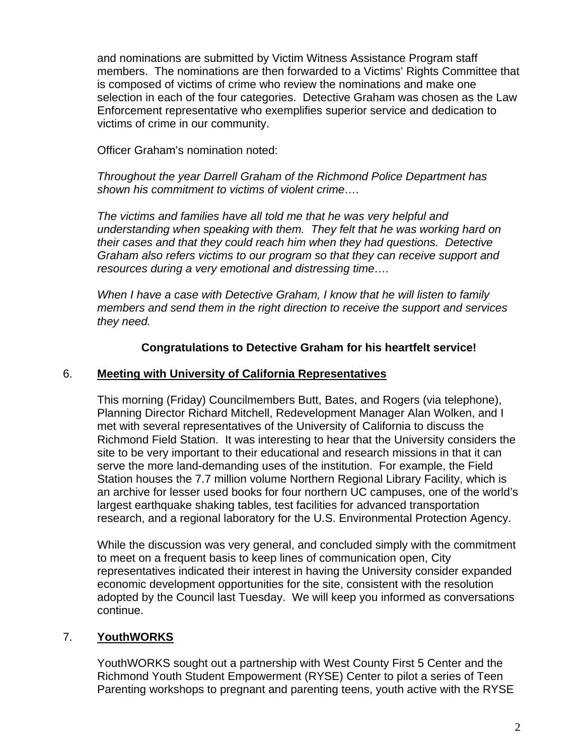and nominations are submitted by Victim Witness Assistance Program staff members. The nominations are then forwarded to a Victims' Rights Committee that is composed of victims of crime who review the nominations and make one selection in each of the four categories. Detective Graham was chosen as the Law Enforcement representative who exemplifies superior service and dedication to victims of crime in our community.

Officer Graham's nomination noted:

*Throughout the year Darrell Graham of the Richmond Police Department has shown his commitment to victims of violent crime….*

*The victims and families have all told me that he was very helpful and understanding when speaking with them. They felt that he was working hard on their cases and that they could reach him when they had questions. Detective Graham also refers victims to our program so that they can receive support and resources during a very emotional and distressing time….* 

*When I have a case with Detective Graham, I know that he will listen to family members and send them in the right direction to receive the support and services they need.*

### **Congratulations to Detective Graham for his heartfelt service!**

### 6. **Meeting with University of California Representatives**

This morning (Friday) Councilmembers Butt, Bates, and Rogers (via telephone), Planning Director Richard Mitchell, Redevelopment Manager Alan Wolken, and I met with several representatives of the University of California to discuss the Richmond Field Station. It was interesting to hear that the University considers the site to be very important to their educational and research missions in that it can serve the more land-demanding uses of the institution. For example, the Field Station houses the 7.7 million volume Northern Regional Library Facility, which is an archive for lesser used books for four northern UC campuses, one of the world's largest earthquake shaking tables, test facilities for advanced transportation research, and a regional laboratory for the U.S. Environmental Protection Agency.

While the discussion was very general, and concluded simply with the commitment to meet on a frequent basis to keep lines of communication open, City representatives indicated their interest in having the University consider expanded economic development opportunities for the site, consistent with the resolution adopted by the Council last Tuesday. We will keep you informed as conversations continue.

## 7. **YouthWORKS**

YouthWORKS sought out a partnership with West County First 5 Center and the Richmond Youth Student Empowerment (RYSE) Center to pilot a series of Teen Parenting workshops to pregnant and parenting teens, youth active with the RYSE